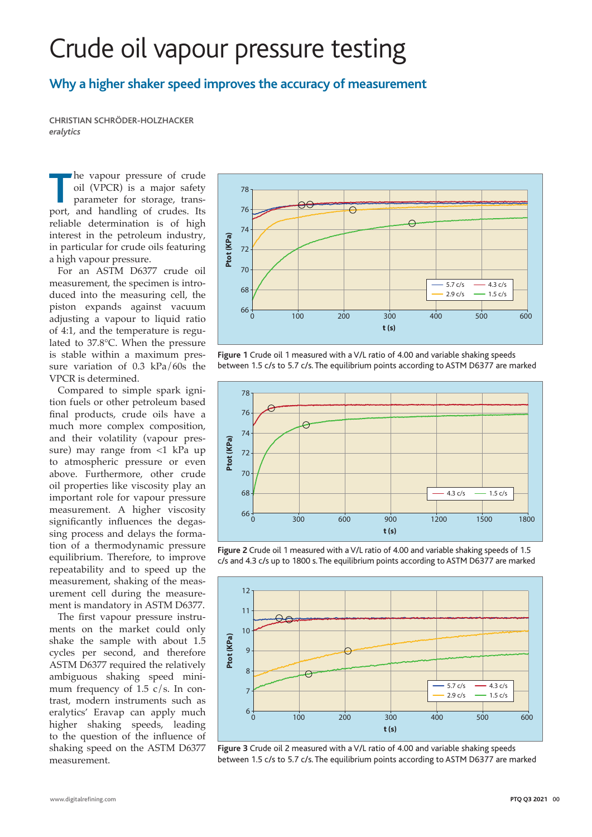# Crude oil vapour pressure testing

# **Why a higher shaker speed improves the accuracy of measurement**

**CHRISTIAN SCHRÖDER-HOLZHACKER**  *eralytics*

**T**he vapour pressure of crude oil (VPCR) is a major safety parameter for storage, transport, and handling of crudes. Its reliable determination is of high interest in the petroleum industry, in particular for crude oils featuring a high vapour pressure.

For an ASTM D6377 crude oil measurement, the specimen is introduced into the measuring cell, the piston expands against vacuum adjusting a vapour to liquid ratio of 4:1, and the temperature is regulated to 37.8°C. When the pressure is stable within a maximum pressure variation of 0.3 kPa/60s the VPCR is determined.

Compared to simple spark ignition fuels or other petroleum based final products, crude oils have a much more complex composition, and their volatility (vapour pressure) may range from <1 kPa up to atmospheric pressure or even above. Furthermore, other crude oil properties like viscosity play an important role for vapour pressure measurement. A higher viscosity significantly influences the degassing process and delays the formation of a thermodynamic pressure equilibrium. Therefore, to improve repeatability and to speed up the measurement, shaking of the measurement cell during the measurement is mandatory in ASTM D6377.

The first vapour pressure instruments on the market could only shake the sample with about 1.5 cycles per second, and therefore ASTM D6377 required the relatively ambiguous shaking speed minimum frequency of 1.5  $c/s$ . In contrast, modern instruments such as eralytics' Eravap can apply much higher shaking speeds, leading to the question of the influence of shaking speed on the ASTM D6377 measurement.



**Figure 1** Crude oil 1 measured with a V/L ratio of 4.00 and variable shaking speeds between 1.5 c/s to 5.7 c/s. The equilibrium points according to ASTM D6377 are marked







**Figure 3** Crude oil 2 measured with a V/L ratio of 4.00 and variable shaking speeds between 1.5 c/s to 5.7 c/s. The equilibrium points according to ASTM D6377 are marked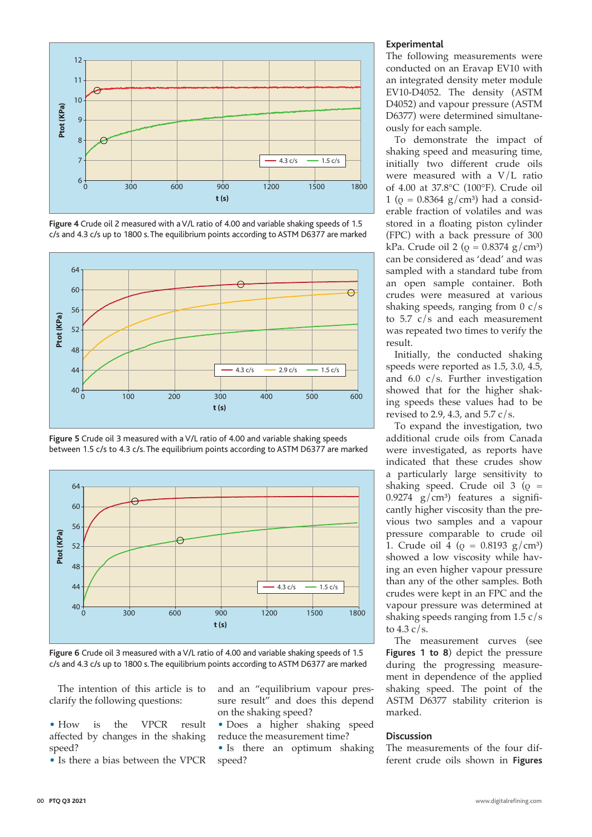

**Figure 4** Crude oil 2 measured with a V/L ratio of 4.00 and variable shaking speeds of 1.5 c/s and 4.3 c/s up to 1800 s. The equilibrium points according to ASTM D6377 are marked



**Figure 5** Crude oil 3 measured with a V/L ratio of 4.00 and variable shaking speeds between 1.5 c/s to 4.3 c/s. The equilibrium points according to ASTM D6377 are marked



**Figure 6** Crude oil 3 measured with a V/L ratio of 4.00 and variable shaking speeds of 1.5 c/s and 4.3 c/s up to 1800 s. The equilibrium points according to ASTM D6377 are marked

The intention of this article is to clarify the following questions:

• How is the VPCR result affected by changes in the shaking speed?

• Is there a bias between the VPCR

and an "equilibrium vapour pressure result" and does this depend on the shaking speed?

• Does a higher shaking speed reduce the measurement time?

• Is there an optimum shaking speed?

## **Experimental**

The following measurements were conducted on an Eravap EV10 with an integrated density meter module EV10-D4052. The density (ASTM D4052) and vapour pressure (ASTM D6377) were determined simultaneously for each sample.

To demonstrate the impact of shaking speed and measuring time, initially two different crude oils were measured with a V/L ratio of 4.00 at 37.8°C (100°F). Crude oil 1 ( $\varrho = 0.8364$  g/cm<sup>3</sup>) had a considerable fraction of volatiles and was stored in a floating piston cylinder (FPC) with a back pressure of 300 kPa. Crude oil 2 ( $\rho = 0.8374$  g/cm<sup>3</sup>) can be considered as 'dead' and was sampled with a standard tube from an open sample container. Both crudes were measured at various shaking speeds, ranging from  $0 \frac{c}{s}$ to 5.7 c/s and each measurement was repeated two times to verify the result.

Initially, the conducted shaking speeds were reported as 1.5, 3.0, 4.5, and 6.0 c/s. Further investigation showed that for the higher shaking speeds these values had to be revised to 2.9, 4.3, and 5.7 c/s.

To expand the investigation, two additional crude oils from Canada were investigated, as reports have indicated that these crudes show a particularly large sensitivity to shaking speed. Crude oil  $3$  ( $\rho$  = 0.9274  $g/cm<sup>3</sup>$  features a significantly higher viscosity than the previous two samples and a vapour pressure comparable to crude oil 1. Crude oil 4 ( $\rho = 0.8193$  g/cm<sup>3</sup>) showed a low viscosity while having an even higher vapour pressure than any of the other samples. Both crudes were kept in an FPC and the vapour pressure was determined at shaking speeds ranging from 1.5 c/s to  $4.3 \overline{c/s}$ .

The measurement curves (see **Figures 1 to 8**) depict the pressure during the progressing measurement in dependence of the applied shaking speed. The point of the ASTM D6377 stability criterion is marked.

### **Discussion**

The measurements of the four different crude oils shown in **Figures**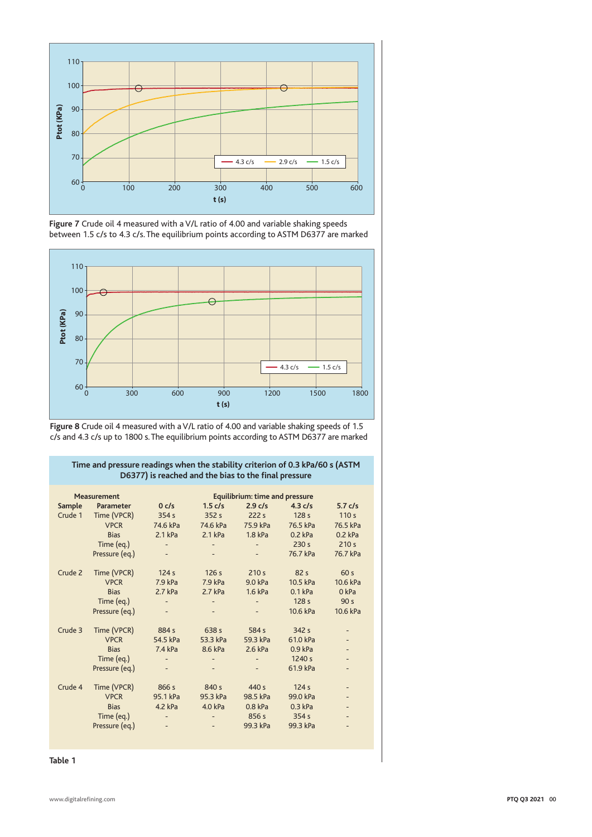







| <b>Measurement</b> |                | Equilibrium: time and pressure |           |           |                   |                          |
|--------------------|----------------|--------------------------------|-----------|-----------|-------------------|--------------------------|
| Sample             | Parameter      | 0 c/s                          | $1.5$ c/s | $2.9$ c/s | $4.3 \text{ c/s}$ | $5.7$ c/s                |
| Crude 1            | Time (VPCR)    | 354s                           | 352s      | 222s      | 128 <sub>s</sub>  | 110 <sub>s</sub>         |
|                    | <b>VPCR</b>    | 74.6 kPa                       | 74.6 kPa  | 75.9 kPa  | 76.5 kPa          | 76.5 kPa                 |
|                    | <b>Bias</b>    | $2.1$ kPa                      | $2.1$ kPa | $1.8$ kPa | $0.2$ kPa         | $0.2$ kPa                |
|                    | Time (eq.)     |                                |           |           | 230s              | 210 <sub>s</sub>         |
|                    | Pressure (eq.) |                                |           |           | 76.7 kPa          | 76.7 kPa                 |
|                    |                |                                |           |           |                   |                          |
| Crude 2            | Time (VPCR)    | 124s                           | 126s      | 210 s     | 82 <sub>s</sub>   | 60 <sub>s</sub>          |
|                    | <b>VPCR</b>    | $7.9$ kPa                      | $7.9$ kPa | 9.0 kPa   | 10.5 kPa          | 10.6 kPa                 |
|                    | <b>Bias</b>    | $2.7$ kPa                      | $2.7$ kPa | 1.6 kPa   | $0.1$ kPa         | 0 kPa                    |
|                    | Time (eq.)     |                                |           |           | 128 <sub>s</sub>  | 90 <sub>s</sub>          |
|                    | Pressure (eq.) |                                |           |           | 10.6 kPa          | 10.6 kPa                 |
|                    |                |                                |           |           |                   |                          |
| Crude 3            | Time (VPCR)    | 884 s                          | 638 s     | 584 s     | 342 s             |                          |
|                    | <b>VPCR</b>    | 54.5 kPa                       | 53.3 kPa  | 59.3 kPa  | 61.0 kPa          |                          |
|                    | <b>Bias</b>    | $7.4$ kPa                      | 8.6 kPa   | 2.6 kPa   | $0.9$ kPa         |                          |
|                    | Time (eq.)     |                                |           |           | 1240 s            |                          |
|                    | Pressure (eq.) |                                |           |           | 61.9 kPa          |                          |
|                    |                |                                |           |           |                   |                          |
| Crude 4            | Time (VPCR)    | 866 s                          | 840 s     | 440 s     | 124s              |                          |
|                    | <b>VPCR</b>    | 95.1 kPa                       | 95.3 kPa  | 98.5 kPa  | 99.0 kPa          |                          |
|                    | <b>Bias</b>    | 4.2 kPa                        | 4.0 kPa   | $0.8$ kPa | $0.3$ kPa         | $\overline{\phantom{0}}$ |
|                    | Time (eq.)     |                                |           | 856 s     | 354s              |                          |
|                    | Pressure (eq.) |                                |           | 99.3 kPa  | 99.3 kPa          |                          |
|                    |                |                                |           |           |                   |                          |

**Time and pressure readings when the stability criterion of 0.3 kPa/60 s (ASTM**<br>
DE277) is reached and the bias to the final arcesure **D6377) is reached and the bias to the final pressure**

**Table 1**